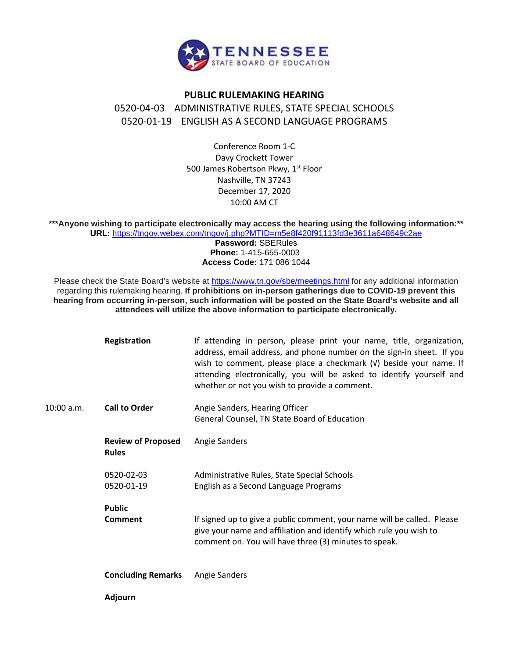

## **PUBLIC RULEMAKING HEARING**

0520-04-03 ADMINISTRATIVE RULES, STATE SPECIAL SCHOOLS 0520-01-19 ENGLISH AS A SECOND LANGUAGE PROGRAMS

> Conference Room 1-C Davy Crockett Tower 500 James Robertson Pkwy, 1<sup>st</sup> Floor Nashville, TN 37243 December 17, 2020 10:00 AM CT

**\*\*\*Anyone wishing to participate electronically may access the hearing using the following information:\*\* URL:** <https://tngov.webex.com/tngov/j.php?MTID=m5e8f420f91113fd3e3611a648649c2ae>

**Password:** SBERules **Phone:** 1-415-655-0003 **Access Code:** 171 086 1044

Please check the State Board's website at<https://www.tn.gov/sbe/meetings.html> for any additional information regarding this rulemaking hearing. **If prohibitions on in-person gatherings due to COVID-19 prevent this hearing from occurring in-person, such information will be posted on the State Board's website and all attendees will utilize the above information to participate electronically.**

|            | <b>Registration</b>                       | If attending in person, please print your name, title, organization,<br>address, email address, and phone number on the sign-in sheet. If you<br>wish to comment, please place a checkmark (v) beside your name. If<br>attending electronically, you will be asked to identify yourself and<br>whether or not you wish to provide a comment. |
|------------|-------------------------------------------|----------------------------------------------------------------------------------------------------------------------------------------------------------------------------------------------------------------------------------------------------------------------------------------------------------------------------------------------|
| 10:00 a.m. | <b>Call to Order</b>                      | Angie Sanders, Hearing Officer                                                                                                                                                                                                                                                                                                               |
|            |                                           | General Counsel, TN State Board of Education                                                                                                                                                                                                                                                                                                 |
|            | <b>Review of Proposed</b><br><b>Rules</b> | Angie Sanders                                                                                                                                                                                                                                                                                                                                |
|            | 0520-02-03                                | Administrative Rules, State Special Schools                                                                                                                                                                                                                                                                                                  |
|            | 0520-01-19                                | English as a Second Language Programs                                                                                                                                                                                                                                                                                                        |
|            | <b>Public</b>                             |                                                                                                                                                                                                                                                                                                                                              |
|            | Comment                                   | If signed up to give a public comment, your name will be called. Please<br>give your name and affiliation and identify which rule you wish to<br>comment on. You will have three (3) minutes to speak.                                                                                                                                       |
|            | <b>Concluding Remarks</b>                 | Angie Sanders                                                                                                                                                                                                                                                                                                                                |
|            | <b>Adjourn</b>                            |                                                                                                                                                                                                                                                                                                                                              |
|            |                                           |                                                                                                                                                                                                                                                                                                                                              |